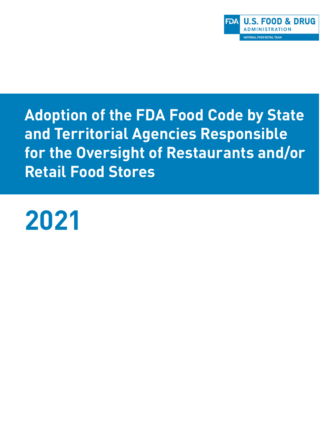

**Adoption of the FDA Food Code by State and Territorial Agencies Responsible for the Oversight of Restaurants and/or Retail Food Stores** 

# **2021**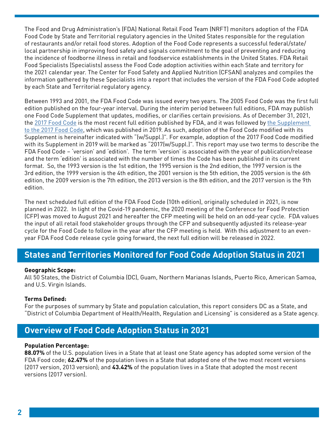The Food and Drug Administration's (FDA) National Retail Food Team (NRFT) monitors adoption of the FDA Food Code by State and Territorial regulatory agencies in the United States responsible for the regulation of restaurants and/or retail food stores. Adoption of the Food Code represents a successful federal/state/ local partnership in improving food safety and signals commitment to the goal of preventing and reducing the incidence of foodborne illness in retail and foodservice establishments in the United States. FDA Retail Food Specialists (Specialists) assess the Food Code adoption activities within each State and territory for the 2021 calendar year. The Center for Food Safety and Applied Nutrition (CFSAN) analyzes and compiles the information gathered by these Specialists into a report that includes the version of the FDA Food Code adopted by each State and Territorial regulatory agency.

Between 1993 and 2001, the FDA Food Code was issued every two years. The 2005 Food Code was the first full edition published on the four-year interval. During the interim period between full editions, FDA may publish one Food Code Supplement that updates, modifies, or clarifies certain provisions. As of December 31, 2021, the [2017 Food Code](https://www.fda.gov/media/110822/download) is the most recent full edition published by FDA, and it was followed by [the Supplement](https://www.fda.gov/media/133749/download)  [to the 2017 Food Code](https://www.fda.gov/media/133749/download), which was published in 2019. As such, adoption of the Food Code modified with its Supplement is hereinafter indicated with "(w/Suppl.)". For example, adoption of the 2017 Food Code modified with its Supplement in 2019 will be marked as "2017(w/Suppl.)". This report may use two terms to describe the FDA Food Code – 'version' and 'edition'. The term 'version' is associated with the year of publication/release and the term 'edition' is associated with the number of times the Code has been published in its current format. So, the 1993 version is the 1st edition, the 1995 version is the 2nd edition, the 1997 version is the 3rd edition, the 1999 version is the 4th edition, the 2001 version is the 5th edition, the 2005 version is the 6th edition, the 2009 version is the 7th edition, the 2013 version is the 8th edition, and the 2017 version is the 9th edition.

The next scheduled full edition of the FDA Food Code (10th edition), originally scheduled in 2021, is now planned in 2022. In light of the Covid-19 pandemic, the 2020 meeting of the Conference for Food Protection (CFP) was moved to August 2021 and hereafter the CFP meeting will be held on an odd-year cycle. FDA values the input of all retail food stakeholder groups through the CFP and subsequently adjusted its release-year cycle for the Food Code to follow in the year after the CFP meeting is held. With this adjustment to an evenyear FDA Food Code release cycle going forward, the next full edition will be released in 2022.

## **States and Territories Monitored for Food Code Adoption Status in 2021**

### **Geographic Scope:**

All 50 States, the District of Columbia (DC), Guam, Northern Marianas Islands, Puerto Rico, American Samoa, and U.S. Virgin Islands.

## **Terms Defined:**

For the purposes of summary by State and population calculation, this report considers DC as a State, and "District of Columbia Department of Health/Health, Regulation and Licensing" is considered as a State agency.

# **Overview of Food Code Adoption Status in 2021**

### **Population Percentage:**

**88.07%** of the U.S. population lives in a State that at least one State agency has adopted some version of the FDA Food code; **62.47%** of the population lives in a State that adopted one of the two most recent versions (2017 version, 2013 version); and **43.42%** of the population lives in a State that adopted the most recent versions (2017 version).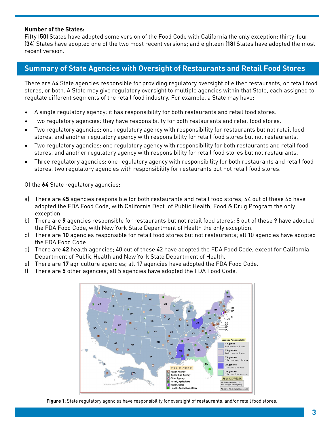#### **Number of the States:**

Fifty (**50**) States have adopted some version of the Food Code with California the only exception; thirty-four (**34**) States have adopted one of the two most recent versions; and eighteen (**18**) States have adopted the most recent version.

## **Summary of State Agencies with Oversight of Restaurants and Retail Food Stores**

There are 64 State agencies responsible for providing regulatory oversight of either restaurants, or retail food stores, or both. A State may give regulatory oversight to multiple agencies within that State, each assigned to regulate different segments of the retail food industry. For example, a State may have:

- A single regulatory agency: it has responsibility for both restaurants and retail food stores.
- Two regulatory agencies: they have responsibility for both restaurants and retail food stores.
- Two regulatory agencies: one regulatory agency with responsibility for restaurants but not retail food stores, and another regulatory agency with responsibility for retail food stores but not restaurants.
- Two regulatory agencies: one regulatory agency with responsibility for both restaurants and retail food stores, and another regulatory agency with responsibility for retail food stores but not restaurants.
- Three regulatory agencies: one regulatory agency with responsibility for both restaurants and retail food stores, two regulatory agencies with responsibility for restaurants but not retail food stores.

Of the **64** State regulatory agencies:

- a) There are **45** agencies responsible for both restaurants and retail food stores; 44 out of these 45 have adopted the FDA Food Code, with California Dept. of Public Health, Food & Drug Program the only exception.
- b) There are **9** agencies responsible for restaurants but not retail food stores; 8 out of these 9 have adopted the FDA Food Code, with New York State Department of Health the only exception.
- c) There are **10** agencies responsible for retail food stores but not restaurants; all 10 agencies have adopted the FDA Food Code.
- d) There are **42** health agencies; 40 out of these 42 have adopted the FDA Food Code, except for California Department of Public Health and New York State Department of Health.
- e) There are **17** agriculture agencies; all 17 agencies have adopted the FDA Food Code.
- f) There are **5** other agencies; all 5 agencies have adopted the FDA Food Code.



**Figure 1:** State regulatory agencies have responsibility for oversight of restaurants, and/or retail food stores.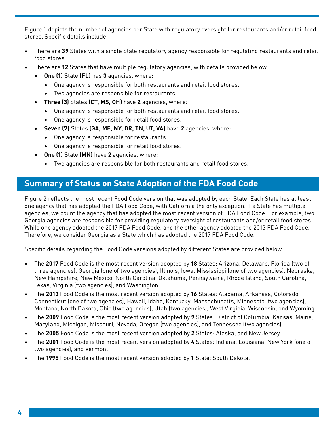Figure 1 depicts the number of agencies per State with regulatory oversight for restaurants and/or retail food stores. Specific details include:

- There are **39** States with a single State regulatory agency responsible for regulating restaurants and retail food stores.
- There are **12** States that have multiple regulatory agencies, with details provided below:
	- **• One (1)** State **(FL)** has **3** agencies, where:
		- One agency is responsible for both restaurants and retail food stores.
		- Two agencies are responsible for restaurants.
	- **• Three (3)** States **(CT, MS, OH)** have **2** agencies, where:
		- One agency is responsible for both restaurants and retail food stores.
		- One agency is responsible for retail food stores.
	- **• Seven (7)** States **(GA, ME, NY, OR, TN, UT, VA)** have **2** agencies, where:
		- One agency is responsible for restaurants.
		- One agency is responsible for retail food stores.
	- **• One (1)** State **(MN)** have **2** agencies, where:
		- Two agencies are responsible for both restaurants and retail food stores.

# **Summary of Status on State Adoption of the FDA Food Code**

Figure 2 reflects the most recent Food Code version that was adopted by each State. Each State has at least one agency that has adopted the FDA Food Code, with California the only exception. If a State has multiple agencies, we count the agency that has adopted the most recent version of FDA Food Code. For example, two Georgia agencies are responsible for providing regulatory oversight of restaurants and/or retail food stores. While one agency adopted the 2017 FDA Food Code, and the other agency adopted the 2013 FDA Food Code. Therefore, we consider Georgia as a State which has adopted the 2017 FDA Food Code.

Specific details regarding the Food Code versions adopted by different States are provided below:

- The **2017** Food Code is the most recent version adopted by **18** States: Arizona, Delaware, Florida (two of three agencies), Georgia (one of two agencies), Illinois, Iowa, Mississippi (one of two agencies), Nebraska, New Hampshire, New Mexico, North Carolina, Oklahoma, Pennsylvania, Rhode Island, South Carolina, Texas, Virginia (two agencies), and Washington.
- The **2013** Food Code is the most recent version adopted by **16** States: Alabama, Arkansas, Colorado, Connecticut (one of two agencies), Hawaii, Idaho, Kentucky, Massachusetts, Minnesota (two agencies), Montana, North Dakota, Ohio (two agencies), Utah (two agencies), West Virginia, Wisconsin, and Wyoming.
- The **2009** Food Code is the most recent version adopted by **9** States: District of Columbia, Kansas, Maine, Maryland, Michigan, Missouri, Nevada, Oregon (two agencies), and Tennessee (two agencies),
- The **2005** Food Code is the most recent version adopted by **2** States: Alaska, and New Jersey.
- The **2001** Food Code is the most recent version adopted by **4** States: Indiana, Louisiana, New York (one of two agencies), and Vermont.
- The **1995** Food Code is the most recent version adopted by **1** State: South Dakota.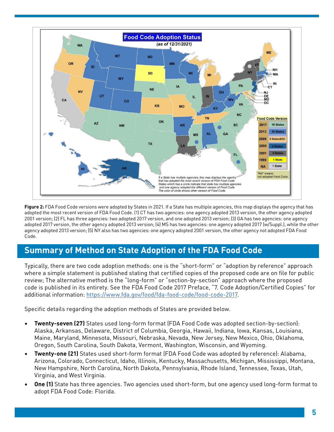

Figure 2: FDA Food Code versions were adopted by States in 2021. If a State has multiple agencies, this map displays the agency that has adopted the most recent version of FDA Food Code. (1) CT has two agencies: one agency adopted 2013 version, the other agency adopted 2001 version; (2) FL has three agencies: two adopted 2017 version, and one adopted 2013 version; (3) GA has two agencies: one agency adopted 2017 version, the other agency adopted 2013 version; (4) MS has two agencies: one agency adopted 2017 (w/Suppl.), while the other agency adopted 2013 version; (5) NY also has two agencies: one agency adopted 2001 version, the other agency not adopted FDA Food Code.

# **Summary of Method on State Adoption of the FDA Food Code**

Typically, there are two code adoption methods: one is the "short-form" or "adoption by reference" approach where a simple statement is published stating that certified copies of the proposed code are on file for public review; The alternative method is the "long-form" or "section-by-section" approach where the proposed code is published in its entirety. See the FDA Food Code 2017 Preface, "7. Code Adoption/Certified Copies" for additional information:<https://www.fda.gov/food/fda-food-code/food-code-2017>.

Specific details regarding the adoption methods of States are provided below.

- **• Twenty-seven (27)** States used long-form format (FDA Food Code was adopted section-by-section): Alaska, Arkansas, Delaware, District of Columbia, Georgia, Hawaii, Indiana, Iowa, Kansas, Louisiana, Maine, Maryland, Minnesota, Missouri, Nebraska, Nevada, New Jersey, New Mexico, Ohio, Oklahoma, Oregon, South Carolina, South Dakota, Vermont, Washington, Wisconsin, and Wyoming.
- **• Twenty-one (21)** States used short-form format (FDA Food Code was adopted by reference): Alabama, Arizona, Colorado, Connecticut, Idaho, Illinois, Kentucky, Massachusetts, Michigan, Mississippi, Montana, New Hampshire, North Carolina, North Dakota, Pennsylvania, Rhode Island, Tennessee, Texas, Utah, Virginia, and West Virginia.
- **• One (1)** State has three agencies. Two agencies used short-form, but one agency used long-form format to adopt FDA Food Code: Florida.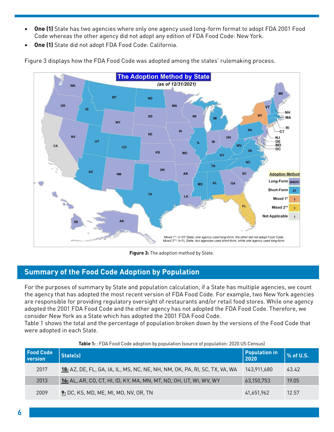- **• One (1)** State has two agencies where only one agency used long-form format to adopt FDA 2001 Food Code whereas the other agency did not adopt any edition of FDA Food Code: New York.
- **• One (1)** State did not adopt FDA Food Code: California.

Figure 3 displays how the FDA Food Code was adopted among the states' rulemaking process.



**Figure 3:** The adoption method by State.

## **Summary of the Food Code Adoption by Population**

For the purposes of summary by State and population calculation, if a State has multiple agencies, we count the agency that has adopted the most recent version of FDA Food Code. For example, two New York agencies are responsible for providing regulatory oversight of restaurants and/or retail food stores. While one agency adopted the 2001 FDA Food Code and the other agency has not adopted the FDA Food Code. Therefore, we consider New York as a State which has adopted the 2001 FDA Food Code.

Table 1 shows the total and the percentage of population broken down by the versions of the Food Code that were adopted in each State.

| <b>Table 1:</b> FDA Food Code adoption by population (source of population: 2020 US Census) |                                                                            |                              |           |  |  |
|---------------------------------------------------------------------------------------------|----------------------------------------------------------------------------|------------------------------|-----------|--|--|
| <b>Food Code</b><br>version                                                                 | State(s)                                                                   | <b>Population in</b><br>2020 | % of U.S. |  |  |
| 2017                                                                                        | 18: AZ, DE, FL, GA, IA, IL, MS, NC, NE, NH, NM, OK, PA, RI, SC, TX, VA, WA | 143.911.680                  | 43.42     |  |  |
| 2013                                                                                        | 16: AL, AR, CO, CT, HI, ID, KY, MA, MN, MT, ND, OH, UT, WI, WV, WY         | 63,150,753                   | 19.05     |  |  |
| 2009                                                                                        | 9: DC, KS, MD, ME, MI, MO, NV, OR, TN                                      | 41,651,962                   | 12.57     |  |  |

#### **Table 1:** : FDA Food Code adoption by population (source of population: 2020 US Census)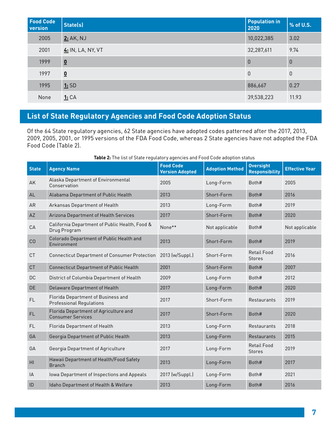| <b>Food Code</b><br><b>version</b> | State(s)                 | <b>Population in</b><br>2020 | % of U.S.      |
|------------------------------------|--------------------------|------------------------------|----------------|
| 2005                               | 2: AK, NJ                | 10,022,385                   | 3.02           |
| 2001                               | 4: IN, LA, NY, VT        | 32,287,611                   | 9.74           |
| 1999                               | $\underline{\mathbf{0}}$ | $\theta$                     | $\overline{0}$ |
| 1997                               | $\overline{\mathbf{0}}$  | $\theta$                     | $\theta$       |
| 1995                               | 1:SD                     | 886,667                      | 0.27           |
| None                               | <u>1:</u> CA             | 39,538,223                   | 11.93          |

# **List of State Regulatory Agencies and Food Code Adoption Status**

Of the 64 State regulatory agencies, 62 State agencies have adopted codes patterned after the 2017, 2013, 2009, 2005, 2001, or 1995 versions of the FDA Food Code, whereas 2 State agencies have not adopted the FDA Food Code (Table 2).

| <b>State</b> | <b>Agency Name</b>                                                    | <b>Food Code</b>       | <b>Adoption Method</b> | <b>Oversight</b>                    | <b>Effective Year</b> |
|--------------|-----------------------------------------------------------------------|------------------------|------------------------|-------------------------------------|-----------------------|
|              |                                                                       | <b>Version Adopted</b> |                        | <b>Responsibility</b>               |                       |
| AK           | Alaska Department of Environmental<br>Conservation                    | 2005                   | Long-Form              | Both#                               | 2005                  |
| AL           | Alabama Department of Public Health                                   | 2013                   | Short-Form             | Both#                               | 2016                  |
| AR           | Arkansas Department of Health                                         | 2013                   | Long-Form              | Both#                               | 2019                  |
| AZ           | Arizona Department of Health Services                                 | 2017                   | Short-Form             | Both#                               | 2020                  |
| CA           | California Department of Public Health, Food &<br>Drug Program        | None**                 | Not applicable         | Both#                               | Not applicable        |
| CO           | Colorado Department of Public Health and<br>Environment               | 2013                   | Short-Form             | Both#                               | 2019                  |
| <b>CT</b>    | <b>Connecticut Department of Consumer Protection</b>                  | 2013 (w/Suppl.)        | Short-Form             | <b>Retail Food</b><br><b>Stores</b> | 2016                  |
| <b>CT</b>    | <b>Connecticut Department of Public Health</b>                        | 2001                   | Short-Form             | Both#                               | 2007                  |
| DC           | District of Columbia Department of Health                             | 2009                   | Long-Form              | Both#                               | 2012                  |
| <b>DE</b>    | Delaware Department of Health                                         | 2017                   | Long-Form              | Both#                               | 2020                  |
| FL           | Florida Department of Business and<br><b>Professional Regulations</b> | 2017                   | Short-Form             | <b>Restaurants</b>                  | 2019                  |
| <b>FL</b>    | Florida Department of Agriculture and<br><b>Consumer Services</b>     | 2017                   | Short-Form             | Both#                               | 2020                  |
| <b>FL</b>    | Florida Department of Health                                          | 2013                   | Long-Form              | Restaurants                         | 2018                  |
| GA           | Georgia Department of Public Health                                   | 2013                   | Long-Form              | Restaurants                         | 2015                  |
| GA           | Georgia Department of Agriculture                                     | 2017                   | Long-Form              | <b>Retail Food</b><br><b>Stores</b> | 2019                  |
| H1           | Hawaii Department of Health/Food Safety<br><b>Branch</b>              | 2013                   | Long-Form              | Both#                               | 2017                  |
| IA           | Iowa Department of Inspections and Appeals                            | 2017 (w/Suppl.)        | Long-Form              | Both#                               | 2021                  |
| ID           | Idaho Department of Health & Welfare                                  | 2013                   | Long-Form              | Both#                               | 2016                  |

#### **Table 2:** The list of State regulatory agencies and Food Code adoption status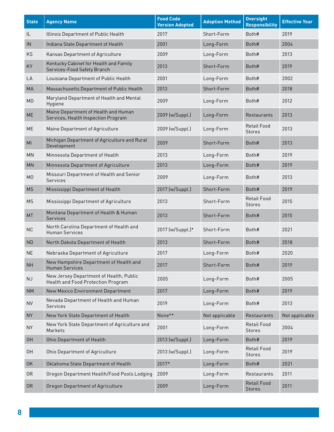| <b>State</b>   | <b>Agency Name</b>                                                                   | <b>Food Code</b><br><b>Version Adopted</b> | <b>Adoption Method</b> | <b>Oversight</b><br><b>Responsibility</b> | <b>Effective Year</b> |
|----------------|--------------------------------------------------------------------------------------|--------------------------------------------|------------------------|-------------------------------------------|-----------------------|
| IL             | Illinois Department of Public Health                                                 | 2017                                       | Short-Form             | Both#                                     | 2019                  |
| IN             | Indiana State Department of Health                                                   | 2001                                       | Long-Form              | Both#                                     | 2004                  |
| KS             | Kansas Department of Agriculture                                                     | 2009                                       | Long-Form              | Both#                                     | 2013                  |
| KY             | Kentucky Cabinet for Health and Family<br>Services-Food Safety Branch                | 2013                                       | Short-Form             | Both#                                     | 2019                  |
| LA             | Louisiana Department of Public Health                                                | 2001                                       | Long-Form              | Both#                                     | 2002                  |
| MA             | Massachusetts Department of Public Health                                            | 2013                                       | Short-Form             | Both#                                     | 2018                  |
| MD             | Maryland Department of Health and Mental<br>Hygiene                                  | 2009                                       | Long-Form              | Both#                                     | 2012                  |
| <b>ME</b>      | Maine Department of Health and Human<br>Services, Health Inspection Program          | 2009 (w/Suppl.)                            | Long-Form              | <b>Restaurants</b>                        | 2013                  |
| <b>ME</b>      | Maine Department of Agriculture                                                      | 2009 (w/Suppl.)                            | Long-Form              | <b>Retail Food</b><br><b>Stores</b>       | 2013                  |
| MI             | Michigan Department of Agriculture and Rural<br>Development                          | 2009                                       | Short-Form             | Both#                                     | 2013                  |
| <b>MN</b>      | Minnesota Department of Health                                                       | 2013                                       | Long-Form              | Both#                                     | 2019                  |
| <b>MN</b>      | Minnesota Department of Agriculture                                                  | 2013                                       | Long-Form              | Both#                                     | 2019                  |
| M <sub>0</sub> | Missouri Department of Health and Senior<br>Services                                 | 2009                                       | Long-Form              | Both#                                     | 2013                  |
| <b>MS</b>      | Mississippi Department of Health                                                     | 2017 (w/Suppl.)                            | Short-Form             | Both#                                     | 2019                  |
| <b>MS</b>      | Mississippi Department of Agriculture                                                | 2013                                       | Short-Form             | <b>Retail Food</b><br><b>Stores</b>       | 2015                  |
| <b>MT</b>      | Montana Department of Health & Human<br><b>Services</b>                              | 2013                                       | Short-Form             | Both#                                     | 2015                  |
| <b>NC</b>      | North Carolina Department of Health and<br><b>Human Services</b>                     | 2017 (w/Suppl.)*                           | Short-Form             | Both#                                     | 2021                  |
| <b>ND</b>      | North Dakota Department of Health                                                    | 2013                                       | Short-Form             | Both#                                     | 2018                  |
| <b>NE</b>      | Nebraska Department of Agriculture                                                   | 2017                                       | Long-Form              | Both#                                     | 2020                  |
| <b>NH</b>      | New Hampshire Department of Health and<br><b>Human Services</b>                      | 2017                                       | Short-Form             | Both#                                     | 2019                  |
| NJ             | New Jersey Department of Health, Public<br><b>Health and Food Protection Program</b> | 2005                                       | Long-Form              | Both#                                     | 2005                  |
| <b>NM</b>      | New Mexico Environment Department                                                    | 2017                                       | Long-Form              | Both#                                     | 2019                  |
| <b>NV</b>      | Nevada Department of Health and Human<br><b>Services</b>                             | 2019                                       | Long-Form              | Both#                                     | 2013                  |
| <b>NY</b>      | New York State Department of Health                                                  | None**                                     | Not applicable         | Restaurants                               | Not applicable        |
| <b>NY</b>      | New York State Department of Agriculture and<br>Markets                              | 2001                                       | Long-Form              | <b>Retail Food</b><br><b>Stores</b>       | 2004                  |
| <b>OH</b>      | Ohio Department of Health                                                            | 2013 (w/Suppl.)                            | Long-Form              | Both#                                     | 2019                  |
| <b>OH</b>      | Ohio Department of Agriculture                                                       | 2013 (w/Suppl.)                            | Long-Form              | <b>Retail Food</b><br><b>Stores</b>       | 2019                  |
| 0K             | Oklahoma State Department of Health                                                  | 2017*                                      | Long-Form              | Both#                                     | 2021                  |
| 0R             | Oregon Department Health/Food Pools Lodging                                          | 2009                                       | Long-Form              | Restaurants                               | 2011                  |
| 0R             | Oregon Department of Agriculture                                                     | 2009                                       | Long-Form              | <b>Retail Food</b><br><b>Stores</b>       | 2011                  |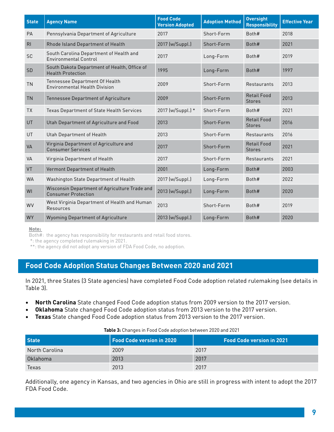| <b>State</b>   | <b>Agency Name</b>                                                          | <b>Food Code</b><br><b>Version Adopted</b> | <b>Adoption Method</b> | <b>Oversight</b><br><b>Responsibility</b> | <b>Effective Year</b> |
|----------------|-----------------------------------------------------------------------------|--------------------------------------------|------------------------|-------------------------------------------|-----------------------|
| PA             | Pennsylvania Department of Agriculture                                      | 2017                                       | Short-Form             | Both#                                     | 2018                  |
| R <sub>l</sub> | Rhode Island Department of Health                                           | 2017 (w/Suppl.)                            | Short-Form             | Both#                                     | 2021                  |
| <b>SC</b>      | South Carolina Department of Health and<br><b>Environmental Control</b>     | 2017                                       | Long-Form              | Both#                                     | 2019                  |
| SD             | South Dakota Department of Health, Office of<br><b>Health Protection</b>    | 1995                                       | Long-Form              | Both#                                     | 1997                  |
| <b>TN</b>      | Tennessee Department Of Health<br><b>Environmental Health Division</b>      | 2009                                       | Short-Form             | Restaurants                               | 2013                  |
| <b>TN</b>      | Tennessee Department of Agriculture                                         | 2009                                       | Short-Form             | <b>Retail Food</b><br><b>Stores</b>       | 2013                  |
| <b>TX</b>      | Texas Department of State Health Services                                   | 2017 (w/Suppl.) *                          | Short-Form             | Both#                                     | 2021                  |
| <b>UT</b>      | Utah Department of Agriculture and Food                                     | 2013                                       | Short-Form             | <b>Retail Food</b><br><b>Stores</b>       | 2016                  |
| UT             | Utah Department of Health                                                   | 2013                                       | Short-Form             | Restaurants                               | 2016                  |
| VA             | Virginia Department of Agriculture and<br><b>Consumer Services</b>          | 2017                                       | Short-Form             | <b>Retail Food</b><br><b>Stores</b>       | 2021                  |
| <b>VA</b>      | Virginia Department of Health                                               | 2017                                       | Short-Form             | Restaurants                               | 2021                  |
| VT             | Vermont Department of Health                                                | 2001                                       | Long-Form              | Both#                                     | 2003                  |
| <b>WA</b>      | Washington State Department of Health                                       | 2017 (w/Suppl.)                            | Long-Form              | Both#                                     | 2022                  |
| WI             | Wisconsin Department of Agriculture Trade and<br><b>Consumer Protection</b> | 2013 (w/Suppl.)                            | Long-Form              | Both#                                     | 2020                  |
| WV             | West Virginia Department of Health and Human<br>Resources                   | 2013                                       | Short-Form             | Both#                                     | 2019                  |
| <b>WY</b>      | <b>Wyoming Department of Agriculture</b>                                    | 2013 (w/Suppl.)                            | Long-Form              | Both#                                     | 2020                  |

Note:

Both#: the agency has responsibility for restaurants and retail food stores.

\*: the agency completed rulemaking in 2021.

\*\*: the agency did not adopt any version of FDA Food Code, no adoption.

## **Food Code Adoption Status Changes Between 2020 and 2021**

In 2021, three States (3 State agencies) have completed Food Code adoption related rulemaking (see details in Table 3).

- **• North Carolina** State changed Food Code adoption status from 2009 version to the 2017 version.
- **• Oklahoma** State changed Food Code adoption status from 2013 version to the 2017 version.
- **• Texas** State changed Food Code adoption status from 2013 version to the 2017 version.

| Table 3: Changes in Food Code adoption between 2020 and 2021 |  |  |
|--------------------------------------------------------------|--|--|
|                                                              |  |  |

| <b>State</b>   | <b>Food Code version in 2020</b> | Food Code version in 2021' |
|----------------|----------------------------------|----------------------------|
| North Carolina | 2009                             | 2017                       |
| Oklahoma       | 2013                             | 2017                       |
| Texas          | 2013                             | 2017                       |

Additionally, one agency in Kansas, and two agencies in Ohio are still in progress with intent to adopt the 2017 FDA Food Code.